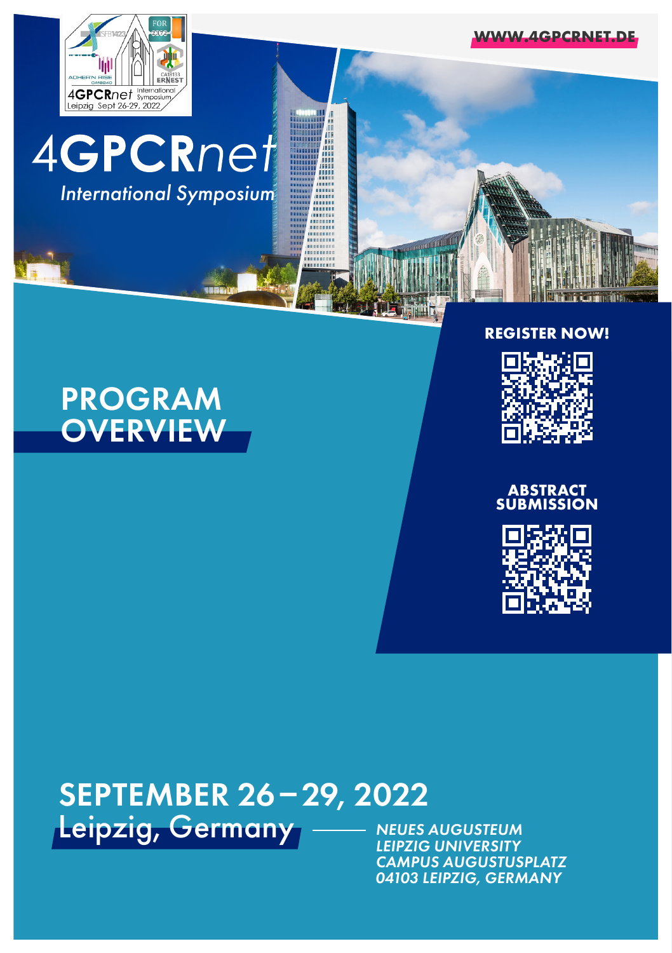**WWW.AGPCRNET** 



# **4GPCRnet** *International Symposium*

# PROGRAM **OVERVIEW**

#### **REGISTER NOW!**







# SEPTEMBER 26–29, 2022 Leipzig, Germany

*NEUES AUGUSTEUM LEIPZIG UNIVERSITY CAMPUS AUGUSTUSPLATZ 04103 LEIPZIG, GERMANY*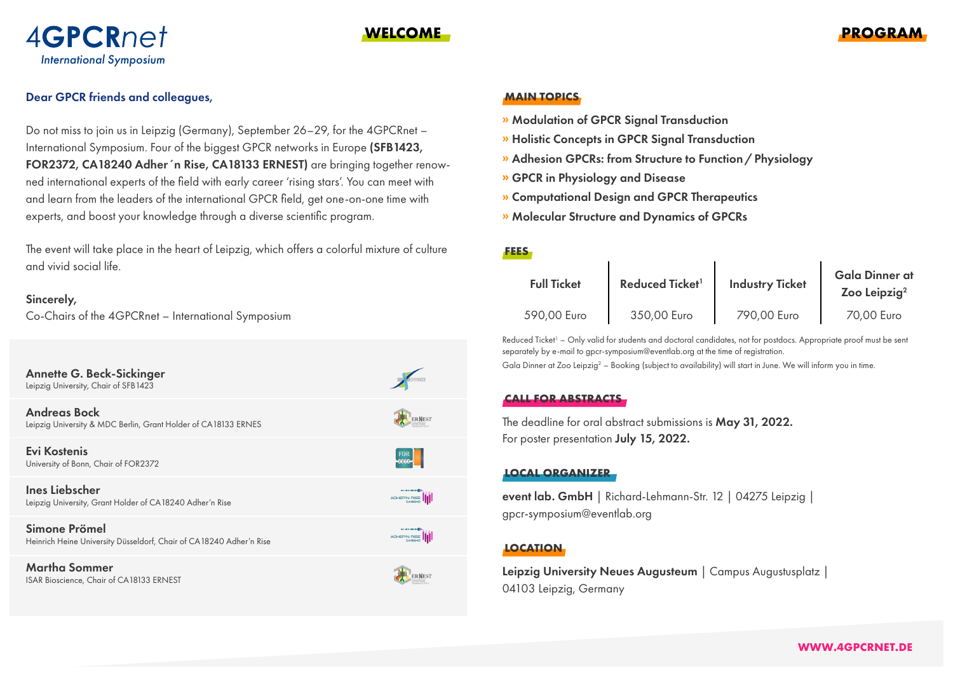

## Dear GPCR friends and colleagues,

*International Symposium*

Do not miss to join us in Leipzig (Germany), September 26–29, for the 4GPCRnet – International Symposium. Four of the biggest GPCR networks in Europe (SFB1423, FOR2372, CA18240 Adher´n Rise, CA18133 ERNEST) are bringing together renowned international experts of the field with early career 'rising stars'. You can meet with and learn from the leaders of the international GPCR field, get one-on-one time with experts, and boost your knowledge through a diverse scientific program.

The event will take place in the heart of Leipzig, which offers a colorful mixture of culture and vivid social life.

#### Sincerely,

Co-Chairs of the 4GPCRnet – International Symposium

Annette G. Beck-Sickinger Leipzig University, Chair of SFB1423

Andreas Bock Leipzig University & MDC Berlin, Grant Holder of CA18133 ERNES

Evi Kostenis University of Bonn, Chair of FOR2372

Ines Liebscher Leipzig University, Grant Holder of CA18240 Adher'n Rise

Simone Prömel Heinrich Heine University Düsseldorf, Chair of CA18240 Adher'n Rise

Martha Sommer ISAR Bioscience, Chair of CA18133 ERNEST







ADHER'N RISE



#### **MAIN TOPICS**

- **»** Modulation of GPCR Signal Transduction
- **»** Holistic Concepts in GPCR Signal Transduction
- **»** Adhesion GPCRs: from Structure to Function/Physiology
- **»** GPCR in Physiology and Disease
- **»** Computational Design and GPCR Therapeutics
- **»** Molecular Structure and Dynamics of GPCRs

#### **FEES**

| <b>Full Ticket</b> | Reduced Ticket <sup>1</sup> | <b>Industry Ticket</b> | <b>Gala Dinner at</b><br>Zoo Leipzig <sup>2</sup> |
|--------------------|-----------------------------|------------------------|---------------------------------------------------|
| 590,00 Euro        | 350,00 Euro                 | 790,00 Euro            | 70,00 Euro                                        |

Reduced Ticket<sup>1</sup> – Only valid for students and doctoral candidates, not for postdocs. Appropriate proof must be sent separately by e-mail to gpcr-symposium@eventlab.org at the time of registration.

Gala Dinner at Zoo Leipzig<sup>2</sup> – Booking (subject to availability) will start in June. We will inform you in time.

### **CALL FOR ABSTRACTS**

The deadline for oral abstract submissions is May 31, 2022. For poster presentation July 15, 2022.

#### **LOCAL ORGANIZER**

event lab. GmbH | Richard-Lehmann-Str. 12 | 04275 Leipzig | gpcr-symposium@eventlab.org

### **LOCATION**

Leipzig University Neues Augusteum | Campus Augustusplatz | 04103 Leipzig, Germany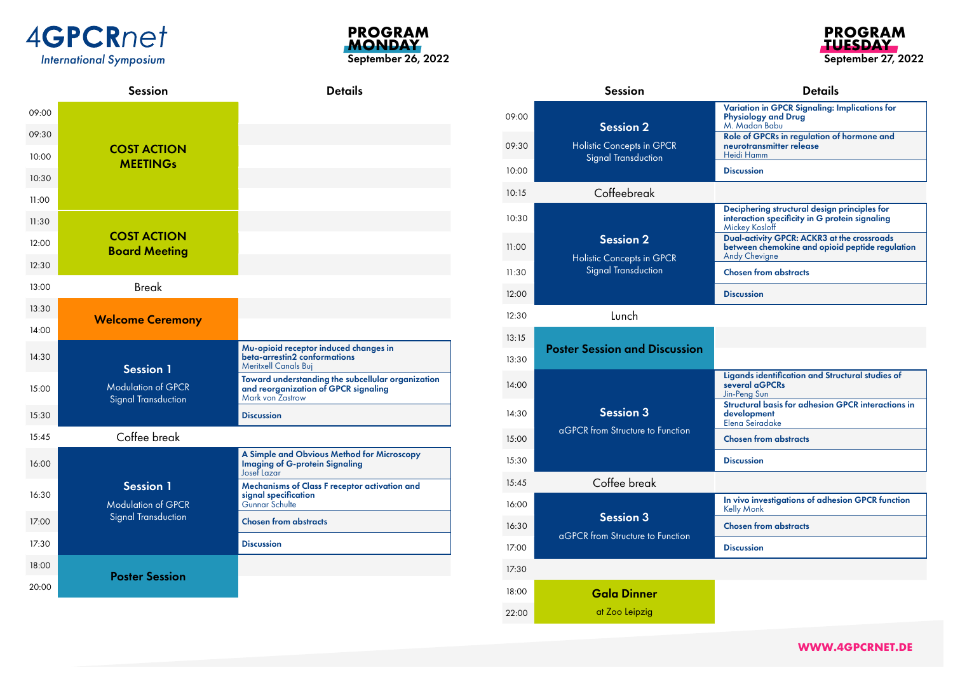





|       | <b>Session</b>                                                                     | <b>Details</b>                                                                                                          |
|-------|------------------------------------------------------------------------------------|-------------------------------------------------------------------------------------------------------------------------|
| 09:00 | <b>Session 2</b>                                                                   | <b>Variation in GPCR Signaling: Implications for</b><br><b>Physiology and Drug</b><br>M. Madan Babu                     |
| 09:30 | <b>Holistic Concepts in GPCR</b><br><b>Signal Transduction</b>                     | Role of GPCRs in regulation of hormone and<br>neurotransmitter release<br><b>Heidi Hamm</b>                             |
| 10:00 |                                                                                    | <b>Discussion</b>                                                                                                       |
| 10:15 | Coffeebreak                                                                        |                                                                                                                         |
| 10:30 |                                                                                    | Deciphering structural design principles for<br>interaction specificity in G protein signaling<br><b>Mickey Kosloff</b> |
| 11:00 | <b>Session 2</b><br><b>Holistic Concepts in GPCR</b><br><b>Signal Transduction</b> | Dual-activity GPCR: ACKR3 at the crossroads<br>between chemokine and opioid peptide regulation<br><b>Andy Chevigne</b>  |
| 11:30 |                                                                                    | <b>Chosen from abstracts</b>                                                                                            |
| 12:00 |                                                                                    | <b>Discussion</b>                                                                                                       |
| 12:30 | Lunch                                                                              |                                                                                                                         |
| 13:15 |                                                                                    |                                                                                                                         |
| 13:30 | <b>Poster Session and Discussion</b>                                               |                                                                                                                         |
| 14:00 |                                                                                    | Ligands identification and Structural studies of<br>several aGPCRs<br>Jin-Peng Sun                                      |
| 14:30 | <b>Session 3</b>                                                                   | <b>Structural basis for adhesion GPCR interactions in</b><br>development<br>Elena Seiradake                             |
| 15:00 | aGPCR from Structure to Function                                                   | <b>Chosen from abstracts</b>                                                                                            |
| 15:30 |                                                                                    | <b>Discussion</b>                                                                                                       |
| 15:45 | Coffee break                                                                       |                                                                                                                         |
| 16:00 |                                                                                    | In vivo investigations of adhesion GPCR function<br><b>Kelly Monk</b>                                                   |
| 16:30 | <b>Session 3</b>                                                                   | <b>Chosen from abstracts</b>                                                                                            |
| 17:00 | aGPCR from Structure to Function                                                   | <b>Discussion</b>                                                                                                       |
| 17:30 |                                                                                    |                                                                                                                         |
| 18:00 | <b>Gala Dinner</b>                                                                 |                                                                                                                         |
| 22:00 | at Zoo Leipzig                                                                     |                                                                                                                         |

#### **PROGRAM TUESDAY** September 27, 2022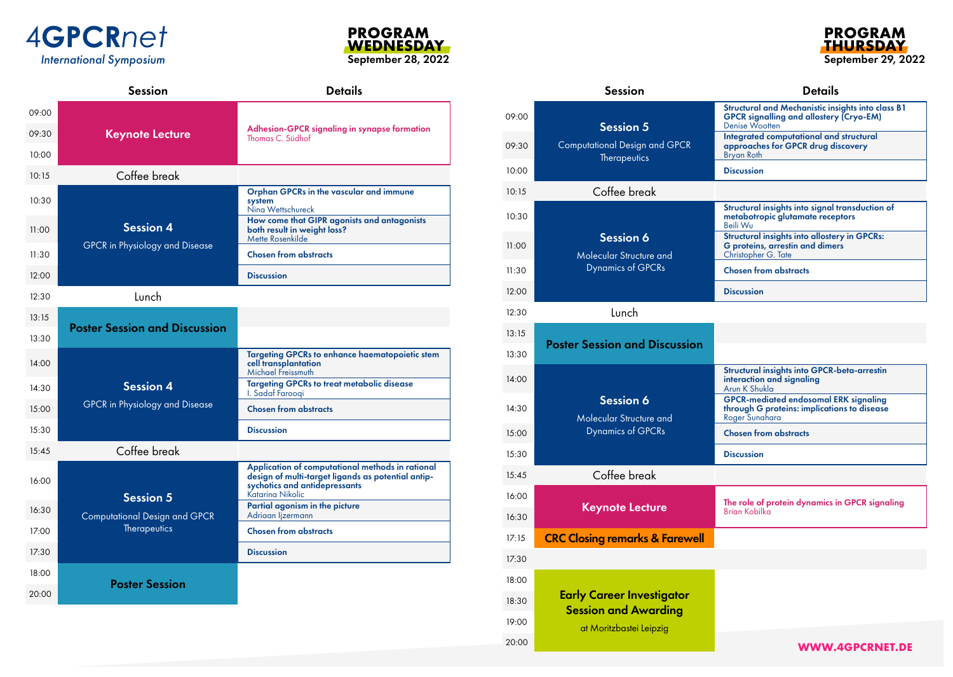



|       | <b>Session</b>                                            | <b>Details</b>                                                                                                                                              |
|-------|-----------------------------------------------------------|-------------------------------------------------------------------------------------------------------------------------------------------------------------|
| 09:00 |                                                           |                                                                                                                                                             |
| 09:30 | <b>Keynote Lecture</b>                                    | Adhesion-GPCR signaling in synapse formation<br>Thomas C. Südhof                                                                                            |
| 10:00 |                                                           |                                                                                                                                                             |
| 10:15 | Coffee break                                              |                                                                                                                                                             |
| 10:30 |                                                           | Orphan GPCRs in the vascular and immune<br>system<br>Ning Wettschureck                                                                                      |
| 11:00 | <b>Session 4</b><br><b>GPCR</b> in Physiology and Disease | How come that GIPR agonists and antagonists<br>both result in weight loss?<br>Mette Rosenkilde                                                              |
| 11:30 |                                                           | <b>Chosen from abstracts</b>                                                                                                                                |
| 12:00 |                                                           | <b>Discussion</b>                                                                                                                                           |
| 12:30 | Lunch                                                     |                                                                                                                                                             |
| 13:15 | <b>Poster Session and Discussion</b>                      |                                                                                                                                                             |
| 13:30 |                                                           |                                                                                                                                                             |
| 14:00 |                                                           | Targeting GPCRs to enhance haematopoietic stem<br>cell transplantation<br>Michael Freissmuth                                                                |
| 14:30 | <b>Session 4</b>                                          | Targeting GPCRs to treat metabolic disease<br>I. Sadaf Faroogi                                                                                              |
| 15:00 | <b>GPCR</b> in Physiology and Disease                     | <b>Chosen from abstracts</b>                                                                                                                                |
| 15:30 |                                                           | <b>Discussion</b>                                                                                                                                           |
| 15:45 | Coffee break                                              |                                                                                                                                                             |
| 16:00 | <b>Session 5</b>                                          | Application of computational methods in rational<br>design of multi-target ligands as potential antip-<br>sychotics and antidepressants<br>Katarina Nikolic |
| 16:30 | <b>Computational Design and GPCR</b><br>Therapeutics      | Partial agonism in the picture<br>Adriaan lizermann                                                                                                         |
| 17:00 |                                                           | <b>Chosen from abstracts</b>                                                                                                                                |
| 17:30 |                                                           | <b>Discussion</b>                                                                                                                                           |
| 18:00 |                                                           |                                                                                                                                                             |
| 20:00 | <b>Poster Session</b>                                     |                                                                                                                                                             |

|       | <b>Session</b>                                                   | <b>Details</b>                                                                                                               |
|-------|------------------------------------------------------------------|------------------------------------------------------------------------------------------------------------------------------|
| 09:00 | <b>Session 5</b>                                                 | <b>Structural and Mechanistic insights into class B1</b><br>GPCR signalling and allostery (Cryo-EM)<br><b>Denise Wootten</b> |
| 09:30 | <b>Computational Design and GPCR</b><br><b>Therapeutics</b>      | Integrated computational and structural<br>approaches for GPCR drug discovery<br>Bryan Roth                                  |
| 10:00 |                                                                  | <b>Discussion</b>                                                                                                            |
| 10:15 | Coffee break                                                     |                                                                                                                              |
| 10:30 |                                                                  | Structural insights into signal transduction of<br>metabotropic glutamate receptors<br>Beili Wu                              |
| 11:00 | Session 6<br>Molecular Structure and<br><b>Dynamics of GPCRs</b> | <b>Structural insights into allostery in GPCRs:</b><br><b>G</b> proteins, arrestin and dimers<br>Christopher G. Tate         |
| 11:30 |                                                                  | <b>Chosen from abstracts</b>                                                                                                 |
| 12:00 |                                                                  | <b>Discussion</b>                                                                                                            |
| 12:30 | Lunch                                                            |                                                                                                                              |
| 13:15 |                                                                  |                                                                                                                              |
| 13:30 | <b>Poster Session and Discussion</b>                             |                                                                                                                              |
| 14:00 |                                                                  | Structural insights into GPCR-beta-arrestin<br>interaction and signaling<br>Arun K Shukla                                    |
| 14:30 | Session 6<br>Molecular Structure and                             | <b>GPCR-mediated endosomal ERK signaling</b><br>through G proteins: implications to disease<br>Roger Sunahara                |
| 15:00 | <b>Dynamics of GPCRs</b>                                         | <b>Chosen from abstracts</b>                                                                                                 |
| 15:30 |                                                                  | <b>Discussion</b>                                                                                                            |
| 15:45 | Coffee break                                                     |                                                                                                                              |
| 16:00 |                                                                  | The role of protein dynamics in GPCR signaling                                                                               |
| 16:30 | <b>Keynote Lecture</b>                                           | <b>Brian Kobilka</b>                                                                                                         |
| 17:15 | <b>CRC Closing remarks &amp; Farewell</b>                        |                                                                                                                              |
| 17:30 |                                                                  |                                                                                                                              |
| 18:00 |                                                                  |                                                                                                                              |
| 18:30 | <b>Early Career Investigator</b>                                 |                                                                                                                              |
| 19:00 | <b>Session and Awarding</b><br>at Moritzbastei Leipzig           |                                                                                                                              |
| 20:00 |                                                                  | <b>WWW.4GPCRNET.DE</b>                                                                                                       |

**PROGRAM THURSDAY** September 29, 2022